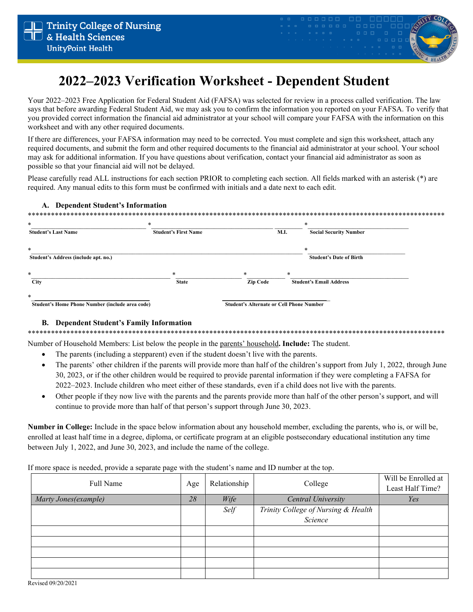

# 2022–2023 Verification Worksheet - Dependent Student

Your 2022–2023 Free Application for Federal Student Aid (FAFSA) was selected for review in a process called verification. The law says that before awarding Federal Student Aid, we may ask you to confirm the information you reported on your FAFSA. To verify that you provided correct information the financial aid administrator at your school will compare your FAFSA with the information on this worksheet and with any other required documents.

If there are differences, your FAFSA information may need to be corrected. You must complete and sign this worksheet, attach any required documents, and submit the form and other required documents to the financial aid administrator at your school. Your school may ask for additional information. If you have questions about verification, contact your financial aid administrator as soon as possible so that your financial aid will not be delayed.

Please carefully read ALL instructions for each section PRIOR to completing each section. All fields marked with an asterisk (\*) are required. Any manual edits to this form must be confirmed with initials and a date next to each edit.

| $\ast$                               | *                           |                 | *                              |
|--------------------------------------|-----------------------------|-----------------|--------------------------------|
| <b>Student's Last Name</b>           | <b>Student's First Name</b> | <b>M.I.</b>     | <b>Social Security Number</b>  |
| $\ast$                               |                             |                 | *                              |
| Student's Address (include apt. no.) |                             |                 | <b>Student's Date of Birth</b> |
| $\ast$                               | $\ast$                      | $*$<br>$\ast$   |                                |
| <b>City</b>                          | <b>State</b>                | <b>Zip Code</b> | <b>Student's Email Address</b> |

### **B.** Dependent Student's Family Information

 $\overline{1}$   $\overline{1}$   $\overline{1}$   $\overline{1}$   $\overline{1}$   $\overline{1}$   $\overline{1}$   $\overline{1}$   $\overline{1}$   $\overline{1}$   $\overline{1}$   $\overline{1}$   $\overline{1}$   $\overline{1}$   $\overline{1}$   $\overline{1}$   $\overline{1}$   $\overline{1}$   $\overline{1}$   $\overline{1}$   $\overline{1}$   $\overline{1}$   $\overline{1}$   $\overline{1}$   $\overline{$ 

Number of Household Members: List below the people in the parents' household. Include: The student.

- The parents (including a stepparent) even if the student doesn't live with the parents.
- The parents' other children if the parents will provide more than half of the children's support from July 1, 2022, through June 30, 2023, or if the other children would be required to provide parental information if they were completing a FAFSA for 2022–2023. Include children who meet either of these standards, even if a child does not live with the parents.
- Other people if they now live with the parents and the parents provide more than half of the other person's support, and will  $\bullet$ continue to provide more than half of that person's support through June 30, 2023.

Number in College: Include in the space below information about any household member, excluding the parents, who is, or will be, enrolled at least half time in a degree, diploma, or certificate program at an eligible postsecondary educational institution any time between July 1, 2022, and June 30, 2023, and include the name of the college.

If more space is needed, provide a separate page with the student's name and ID number at the top.

| Full Name             | Age | Relationship | College                             | Will be Enrolled at<br>Least Half Time? |
|-----------------------|-----|--------------|-------------------------------------|-----------------------------------------|
| Marty Jones (example) | 28  | Wife         | Central University                  | Yes                                     |
|                       |     | Self         | Trinity College of Nursing & Health |                                         |
|                       |     |              | Science                             |                                         |
|                       |     |              |                                     |                                         |
|                       |     |              |                                     |                                         |
|                       |     |              |                                     |                                         |
|                       |     |              |                                     |                                         |
|                       |     |              |                                     |                                         |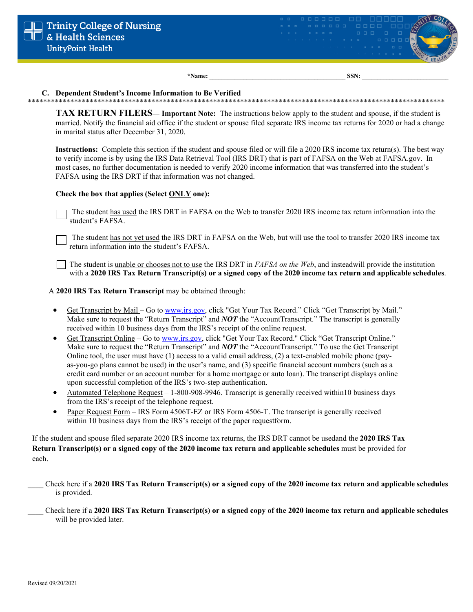

\*Name:

SSN:

## C. Dependent Student's Income Information to Be Verified

**TAX RETURN FILERS— Important Note:** The instructions below apply to the student and spouse, if the student is married. Notify the financial aid office if the student or spouse filed separate IRS income tax returns for 2020 or had a change in marital status after December 31, 2020.

Instructions: Complete this section if the student and spouse filed or will file a 2020 IRS income tax return(s). The best way to verify income is by using the IRS Data Retrieval Tool (IRS DRT) that is part of FAFSA on the Web at FAFSA.gov. In most cases, no further documentation is needed to verify 2020 income information that was transferred into the student's FAFSA using the IRS DRT if that information was not changed.

# Check the box that applies (Select ONLY one):

The student has used the IRS DRT in FAFSA on the Web to transfer 2020 IRS income tax return information into the student's FAFSA.

The student has not yet used the IRS DRT in FAFSA on the Web, but will use the tool to transfer 2020 IRS income tax return information into the student's FAFSA.

The student is <u>unable or chooses not to use</u> the IRS DRT in *FAFSA on the Web*, and insteadwill provide the institution with a 2020 IRS Tax Return Transcript(s) or a signed copy of the 2020 income tax return and applicable schedules.

A 2020 IRS Tax Return Transcript may be obtained through:

- Get Transcript by Mail Go to www.irs.gov, click "Get Your Tax Record." Click "Get Transcript by Mail."  $\bullet$ Make sure to request the "Return Transcript" and NOT the "AccountTranscript." The transcript is generally received within 10 business days from the IRS's receipt of the online request.
- $\bullet$ Get Transcript Online – Go to www.irs.gov, click "Get Your Tax Record." Click "Get Transcript Online." Make sure to request the "Return Transcript" and  $NOT$  the "Account Transcript." To use the Get Transcript Online tool, the user must have  $(1)$  access to a valid email address,  $(2)$  a text-enabled mobile phone (payas-you-go plans cannot be used) in the user's name, and (3) specific financial account numbers (such as a credit card number or an account number for a home mortgage or auto loan). The transcript displays online upon successful completion of the IRS's two-step authentication.
- Automated Telephone Request 1-800-908-9946. Transcript is generally received within 10 business days  $\bullet$ from the IRS's receipt of the telephone request.
- Paper Request Form IRS Form 4506T-EZ or IRS Form 4506-T. The transcript is generally received  $\bullet$ within 10 business days from the IRS's receipt of the paper requestform.

If the student and spouse filed separate 2020 IRS income tax returns, the IRS DRT cannot be usedand the 2020 IRS Tax Return Transcript(s) or a signed copy of the 2020 income tax return and applicable schedules must be provided for each.

- Check here if a 2020 IRS Tax Return Transcript(s) or a signed copy of the 2020 income tax return and applicable schedules is provided.
- Check here if a 2020 IRS Tax Return Transcript(s) or a signed copy of the 2020 income tax return and applicable schedules will be provided later.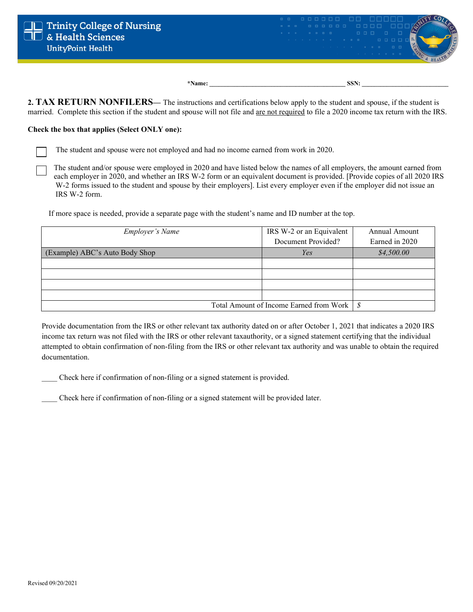

2. TAX RETURN NONFILERS— The instructions and certifications below apply to the student and spouse, if the student is married.Complete this section if the student and spouse will not file and are not required to file a 2020 income tax return with the IRS.

### **Check the box that applies (Select ONLY one):**

The student and spouse were not employed and had no income earned from work in 2020.

The student and/or spouse were employed in 2020 and have listed below the names of all employers, the amount earned from each employer in 2020, and whether an IRS W-2 form or an equivalent document is provided. [Provide copies of all 2020 IRS W-2 forms issued to the student and spouse by their employers]. List every employer even if the employer did not issue an IRS W-2 form.

If more space is needed, provide a separate page with the student's name and ID number at the top.

| <b>Employer's Name</b>                       | IRS W-2 or an Equivalent | Annual Amount  |
|----------------------------------------------|--------------------------|----------------|
|                                              | Document Provided?       | Earned in 2020 |
| (Example) ABC's Auto Body Shop               | Yes                      | \$4,500.00     |
|                                              |                          |                |
|                                              |                          |                |
|                                              |                          |                |
|                                              |                          |                |
| Total Amount of Income Earned from Work   \$ |                          |                |

Provide documentation from the IRS or other relevant tax authority dated on or after October 1, 2021 that indicates a 2020 IRS income tax return was not filed with the IRS or other relevant taxauthority, or a signed statement certifying that the individual attempted to obtain confirmation of non-filing from the IRS or other relevant tax authority and was unable to obtain the required documentation.

\_\_\_\_ Check here if confirmation of non-filing or a signed statement is provided.

\_\_\_\_ Check here if confirmation of non-filing or a signed statement will be provided later.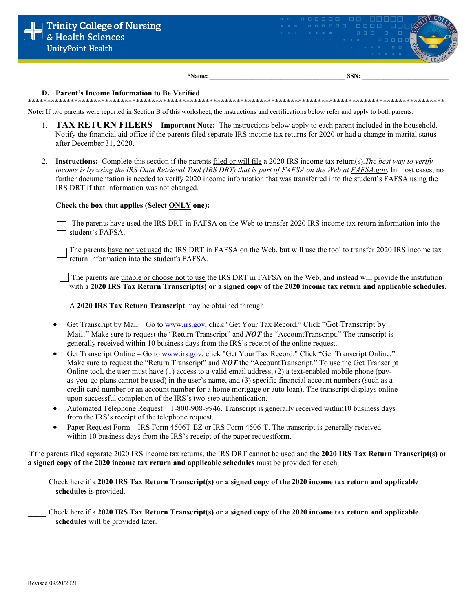

\*Name:

SSN:

#### D. Parent's Income Information to Be Verified

Note: If two parents were reported in Section B of this worksheet, the instructions and certifications below refer and apply to both parents.

- 1. TAX RETURN FILERS— Important Note: The instructions below apply to each parent included in the household. Notify the financial aid office if the parents filed separate IRS income tax returns for 2020 or had a change in marital status after December 31, 2020.
- 2. Instructions: Complete this section if the parents filed or will file a 2020 IRS income tax return(s). The best way to verify income is by using the IRS Data Retrieval Tool (IRS DRT) that is part of FAFSA on the Web at FAFSA.gov. In most cases, no further documentation is needed to verify 2020 income information that was transferred into the student's FAFSA using the IRS DRT if that information was not changed.

#### Check the box that applies (Select ONLY one):

The parents have used the IRS DRT in FAFSA on the Web to transfer 2020 IRS income tax return information into the student's FAFSA.

The parents have not yet used the IRS DRT in FAFSA on the Web, but will use the tool to transfer 2020 IRS income tax return information into the student's FAFSA.

 $\vert \cdot \vert$  The parents are unable or choose not to use the IRS DRT in FAFSA on the Web, and instead will provide the institution with a 2020 IRS Tax Return Transcript(s) or a signed copy of the  $2020$  income tax return and applicable schedules.

A 2020 IRS Tax Return Transcript may be obtained through:

- Get Transcript by Mail Go to www.irs.gov, click "Get Your Tax Record." Click "Get Transcript by Mail." Make sure to request the "Return Transcript" and **NOT** the "Account Transcript." The transcript is generally received within 10 business days from the IRS's receipt of the online request.
- Get Transcript Online Go to www.irs.gov, click "Get Your Tax Record." Click "Get Transcript Online." Make sure to request the "Return Transcript" and **NOT** the "AccountTranscript." To use the Get Transcript Online tool, the user must have  $(1)$  access to a valid email address,  $(2)$  a text-enabled mobile phone (payas-you-go plans cannot be used) in the user's name, and (3) specific financial account numbers (such as a credit card number or an account number for a home mortgage or auto loan). The transcript displays online upon successful completion of the IRS's two-step authentication.
- Automated Telephone Request 1-800-908-9946. Transcript is generally received within10 business days  $\bullet$ from the IRS's receipt of the telephone request.
- Paper Request Form IRS Form 4506T-EZ or IRS Form 4506-T. The transcript is generally received  $\bullet$ within 10 business days from the IRS's receipt of the paper requestform.

If the parents filed separate 2020 IRS income tax returns, the IRS DRT cannot be used and the 2020 IRS Tax Return Transcript(s) or a signed copy of the 2020 income tax return and applicable schedules must be provided for each.

Check here if a 2020 IRS Tax Return Transcript(s) or a signed copy of the 2020 income tax return and applicable schedules is provided.

Check here if a 2020 IRS Tax Return Transcript(s) or a signed copy of the 2020 income tax return and applicable schedules will be provided later.